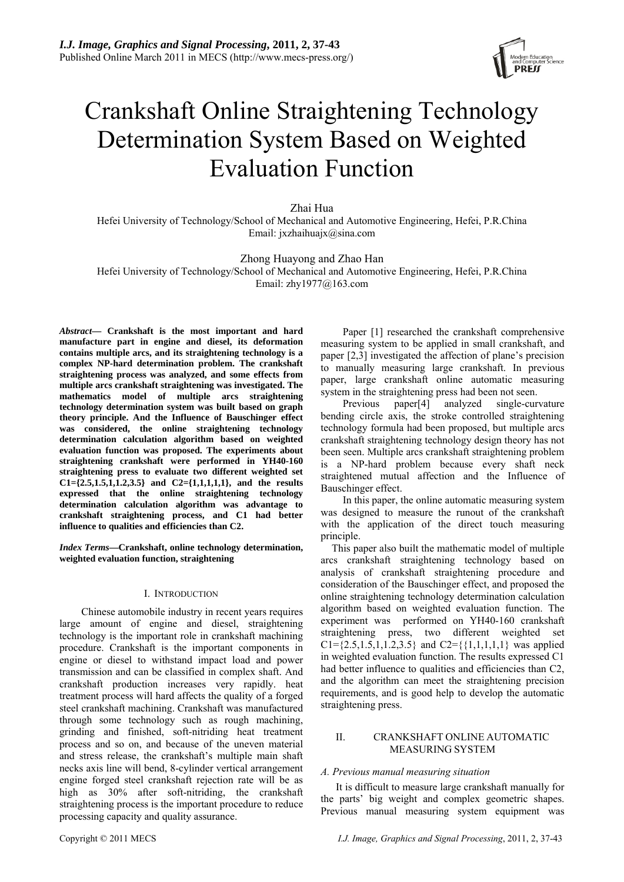

# Crankshaft Online Straightening Technology Determination System Based on Weighted Evaluation Function

Zhai Hua

Hefei University of Technology/School of Mechanical and Automotive Engineering, Hefei, P.R.China Email: jxzhaihuajx@sina.com

# Zhong Huayong and Zhao Han

Hefei University of Technology/School of Mechanical and Automotive Engineering, Hefei, P.R.China Email: zhy1977@163.com

*Abstract***— Crankshaft is the most important and hard manufacture part in engine and diesel, its deformation contains multiple arcs, and its straightening technology is a complex NP-hard determination problem. The crankshaft straightening process was analyzed, and some effects from multiple arcs crankshaft straightening was investigated. The mathematics model of multiple arcs straightening technology determination system was built based on graph theory principle. And the Influence of Bauschinger effect was considered, the online straightening technology determination calculation algorithm based on weighted evaluation function was proposed. The experiments about straightening crankshaft were performed in YH40-160 straightening press to evaluate two different weighted set C1={2.5,1.5,1,1.2,3.5} and C2={1,1,1,1,1}, and the results expressed that the online straightening technology determination calculation algorithm was advantage to crankshaft straightening process, and C1 had better influence to qualities and efficiencies than C2.** 

*Index Terms***—Crankshaft, online technology determination, weighted evaluation function, straightening** 

#### I. INTRODUCTION

Chinese automobile industry in recent years requires large amount of engine and diesel, straightening technology is the important role in crankshaft machining procedure. Crankshaft is the important components in engine or diesel to withstand impact load and power transmission and can be classified in complex shaft. And crankshaft production increases very rapidly. heat treatment process will hard affects the quality of a forged steel crankshaft machining. Crankshaft was manufactured through some technology such as rough machining, grinding and finished, soft-nitriding heat treatment process and so on, and because of the uneven material and stress release, the crankshaft's multiple main shaft necks axis line will bend, 8-cylinder vertical arrangement engine forged steel crankshaft rejection rate will be as high as 30% after soft-nitriding, the crankshaft straightening process is the important procedure to reduce processing capacity and quality assurance.

Paper [1] researched the crankshaft comprehensive measuring system to be applied in small crankshaft, and paper [2,3] investigated the affection of plane's precision to manually measuring large crankshaft. In previous paper, large crankshaft online automatic measuring system in the straightening press had been not seen.

Previous paper[4] analyzed single-curvature bending circle axis, the stroke controlled straightening technology formula had been proposed, but multiple arcs crankshaft straightening technology design theory has not been seen. Multiple arcs crankshaft straightening problem is a NP-hard problem because every shaft neck straightened mutual affection and the Influence of Bauschinger effect.

In this paper, the online automatic measuring system was designed to measure the runout of the crankshaft with the application of the direct touch measuring principle.

This paper also built the mathematic model of multiple arcs crankshaft straightening technology based on analysis of crankshaft straightening procedure and consideration of the Bauschinger effect, and proposed the online straightening technology determination calculation algorithm based on weighted evaluation function. The experiment was performed on YH40-160 crankshaft straightening press, two different weighted set  $Cl = \{2.5, 1.5, 1, 1.2, 3.5\}$  and  $Cl = \{\{1,1,1,1,1\}$  was applied in weighted evaluation function. The results expressed C1 had better influence to qualities and efficiencies than C2, and the algorithm can meet the straightening precision requirements, and is good help to develop the automatic straightening press.

# II. CRANKSHAFT ONLINE AUTOMATIC MEASURING SYSTEM

# *A. Previous manual measuring situation*

It is difficult to measure large crankshaft manually for the parts' big weight and complex geometric shapes. Previous manual measuring system equipment was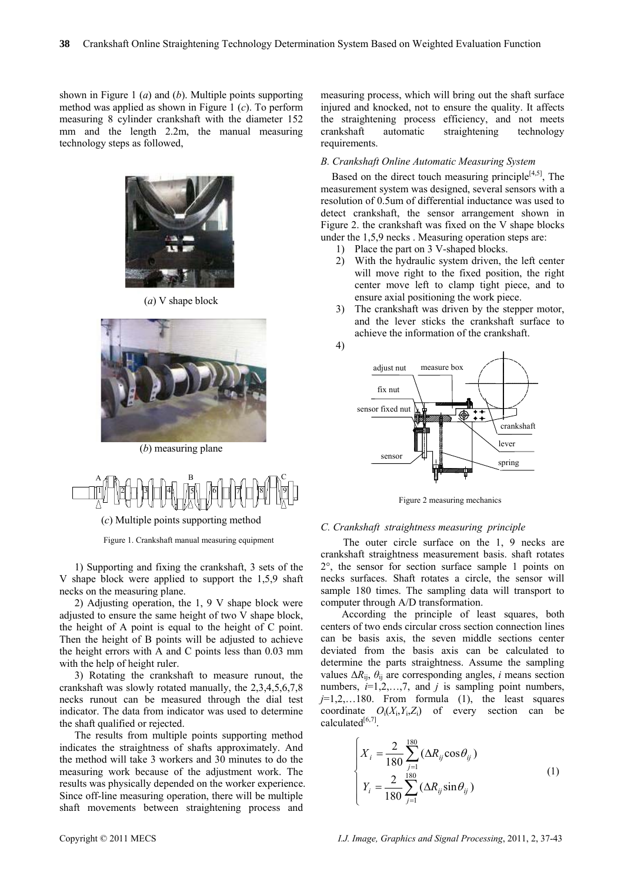shown in Figure 1 (*a*) and (*b*). Multiple points supporting method was applied as shown in Figure 1 (*c*). To perform measuring 8 cylinder crankshaft with the diameter 152 mm and the length 2.2m, the manual measuring technology steps as followed,



(*a*) V shape block



(*b*) measuring plane



Figure 1. Crankshaft manual measuring equipment

1) Supporting and fixing the crankshaft, 3 sets of the V shape block were applied to support the 1,5,9 shaft necks on the measuring plane.

2) Adjusting operation, the 1, 9 V shape block were adjusted to ensure the same height of two V shape block, the height of A point is equal to the height of C point. Then the height of B points will be adjusted to achieve the height errors with A and C points less than 0.03 mm with the help of height ruler.

3) Rotating the crankshaft to measure runout, the crankshaft was slowly rotated manually, the 2,3,4,5,6,7,8 necks runout can be measured through the dial test indicator. The data from indicator was used to determine the shaft qualified or rejected.

The results from multiple points supporting method indicates the straightness of shafts approximately. And the method will take 3 workers and 30 minutes to do the measuring work because of the adjustment work. The results was physically depended on the worker experience. Since off-line measuring operation, there will be multiple shaft movements between straightening process and

measuring process, which will bring out the shaft surface injured and knocked, not to ensure the quality. It affects the straightening process efficiency, and not meets crankshaft automatic straightening technology requirements.

# *B. Crankshaft Online Automatic Measuring System*

Based on the direct touch measuring principle<sup>[4,5]</sup>, The measurement system was designed, several sensors with a resolution of 0.5um of differential inductance was used to detect crankshaft, the sensor arrangement shown in Figure 2. the crankshaft was fixed on the V shape blocks under the 1,5,9 necks . Measuring operation steps are:

- 1) Place the part on 3 V-shaped blocks.
- 2) With the hydraulic system driven, the left center will move right to the fixed position, the right center move left to clamp tight piece, and to ensure axial positioning the work piece.
- 3) The crankshaft was driven by the stepper motor, and the lever sticks the crankshaft surface to achieve the information of the crankshaft.



Figure 2 measuring mechanics

# *C. Crankshaft straightness measuring principle*

The outer circle surface on the 1, 9 necks are crankshaft straightness measurement basis. shaft rotates 2°, the sensor for section surface sample 1 points on necks surfaces. Shaft rotates a circle, the sensor will sample 180 times. The sampling data will transport to computer through A/D transformation.

According the principle of least squares, both centers of two ends circular cross section connection lines can be basis axis, the seven middle sections center deviated from the basis axis can be calculated to determine the parts straightness. Assume the sampling values  $\Delta R_{ii}$ ,  $\theta_{ii}$  are corresponding angles, *i* means section numbers,  $i=1,2,...,7$ , and  $j$  is sampling point numbers,  $j=1,2,...180$ . From formula (1), the least squares coordinate  $O_i(X_i, Y_i, Z_i)$  of every section can be calculated $[6,7]$ .

$$
\begin{cases}\nX_i = \frac{2}{180} \sum_{j=1}^{180} (\Delta R_{ij} \cos \theta_{ij}) \\
Y_i = \frac{2}{180} \sum_{j=1}^{180} (\Delta R_{ij} \sin \theta_{ij})\n\end{cases} (1)
$$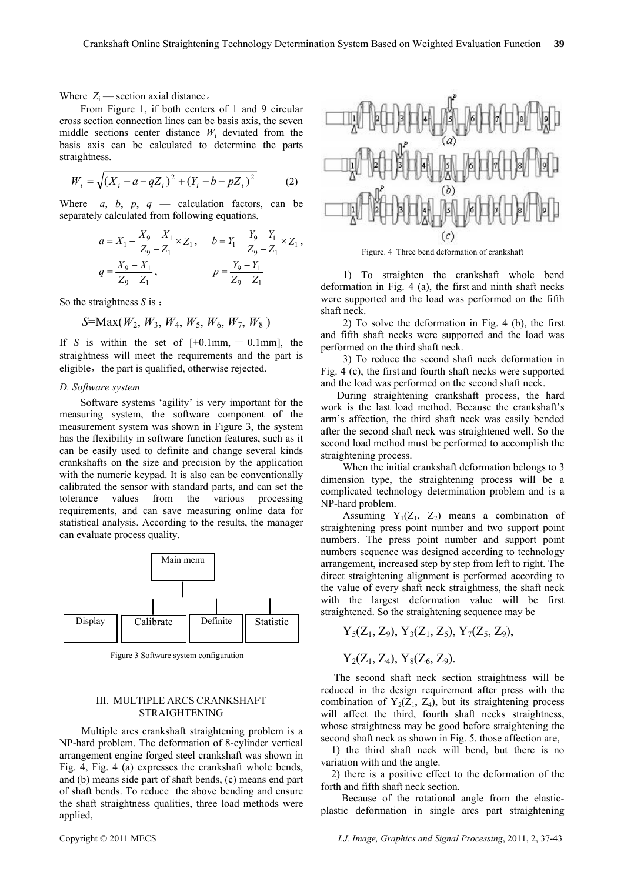Where  $Z_i$  — section axial distance.

From Figure 1, if both centers of 1 and 9 circular cross section connection lines can be basis axis, the seven middle sections center distance *W*i deviated from the basis axis can be calculated to determine the parts straightness.

$$
W_i = \sqrt{(X_i - a - qZ_i)^2 + (Y_i - b - pZ_i)^2}
$$
 (2)

Where  $a, b, p, q$  — calculation factors, can be separately calculated from following equations,

$$
a = X_1 - \frac{X_9 - X_1}{Z_9 - Z_1} \times Z_1, \quad b = Y_1 - \frac{Y_9 - Y_1}{Z_9 - Z_1} \times Z_1,
$$
  

$$
q = \frac{X_9 - X_1}{Z_9 - Z_1}, \quad p = \frac{Y_9 - Y_1}{Z_9 - Z_1}
$$

So the straightness *S* is :

$$
S=Max(W_2, W_3, W_4, W_5, W_6, W_7, W_8)
$$

If *S* is within the set of  $[+0.1$ mm,  $-0.1$ mm], the straightness will meet the requirements and the part is eligible, the part is qualified, otherwise rejected.

# *D. Software system*

Software systems 'agility' is very important for the measuring system, the software component of the measurement system was shown in Figure 3, the system has the flexibility in software function features, such as it can be easily used to definite and change several kinds crankshafts on the size and precision by the application with the numeric keypad. It is also can be conventionally calibrated the sensor with standard parts, and can set the tolerance values from the various processing requirements, and can save measuring online data for statistical analysis. According to the results, the manager can evaluate process quality.



Figure 3 Software system configuration

## III. MULTIPLE ARCS CRANKSHAFT STRAIGHTENING

Multiple arcs crankshaft straightening problem is a NP-hard problem. The deformation of 8-cylinder vertical arrangement engine forged steel crankshaft was shown in Fig. 4, Fig. 4 (a) expresses the crankshaft whole bends, and (b) means side part of shaft bends, (c) means end part of shaft bends. To reduce the above bending and ensure the shaft straightness qualities, three load methods were applied,





1) To straighten the crankshaft whole bend deformation in Fig. 4 (a), the first and ninth shaft necks were supported and the load was performed on the fifth shaft neck.

and fifth shaft necks were supported and the load was perfo rmed on the third shaft neck. 2) To solve the deformation in Fig. 4 (b), the first

Fig.  $4$  (c), the first and fourth shaft necks were supported and t he load was performed on the second shaft neck. 3) To reduce the second shaft neck deformation in

work is the last load method. Because the crankshaft's arm 's affection, the third shaft neck was easily bended During straightening crankshaft process, the hard after the second shaft neck was straightened well. So the second load method must be performed to accomplish the straightening process.

dimension type, the straightening process will be a comp licated technology determination problem and is a When the initial crankshaft deformation belongs to 3 NP-hard problem.

straightening press point number and two support point numb ers. The press point number and support point Assuming  $Y_1(Z_1, Z_2)$  means a combination of numbers sequence was designed according to technology arrangement, increased step by step from left to right. The direct straightening alignment is performed according to the value of every shaft neck straightness, the shaft neck with the largest deformation value will be first straightened. So the straightening sequence may be

$$
Y_5(Z_1, Z_9), Y_3(Z_1, Z_5), Y_7(Z_5, Z_9),
$$

$$
Y_2(Z_1, Z_4), Y_8(Z_6, Z_9).
$$

The second shaft neck section straightness will be reduced in the design requirement after press with the combination of  $Y_2(Z_1, Z_4)$ , but its straightening process will affect the third, fourth shaft necks straightness, whose straightness may be good before straightening the second shaft neck as shown in Fig. 5. those affection are,

 1) the third shaft neck will bend, but there is no variation with and the angle.

forth and fifth shaft neck section. 2) there is a positive effect to the deformation of the

plastic deformation in single arcs part straightening Because of the rotational angle from the elastic-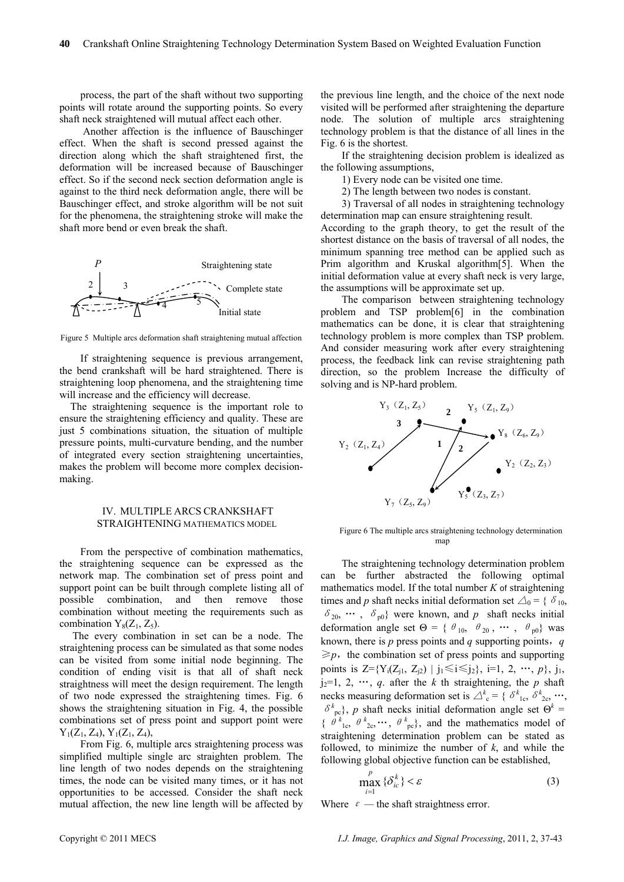process, the part of the shaft without two supporting points will rotate around the supporting points. So every shaft neck straightened will mutual affect each other.

 Another affection is the influence of Bauschinger effect. When the shaft is second pressed against the direction along which the shaft straightened first, the deformation will be increased because of Bauschinger effect. So if the second neck section deformation angle is against to the third neck deformation angle, there will be Bauschinger effect, and stroke algorithm will be not suit for the phenomena, the straightening stroke will make the shaft more bend or even break the shaft.



Figure 5 Multiple arcs deformation shaft straightening mutual affection

If straightening sequence is previous arrangement, the bend crankshaft will be hard straightened. There is straightening loop phenomena, and the straightening time will increase and the efficiency will decrease.

The straightening sequence is the important role to ensure the straightening efficiency and quality. These are just 5 combinations situation, the situation of multiple pressure points, multi-curvature bending, and the number of integrated every section straightening uncertainties, makes the problem will become more complex decisionmaking.

# IV. MULTIPLE ARCS CRANKSHAFT STRAIGHTENING MATHEMATICS MODEL

From the perspective of combination mathematics, the straightening sequence can be expressed as the network map. The combination set of press point and support point can be built through complete listing all of possible combination, and then remove those combination without meeting the requirements such as combination  $Y_8(Z_1, Z_5)$ .

 The every combination in set can be a node. The straightening process can be simulated as that some nodes can be visited from some initial node beginning. The condition of ending visit is that all of shaft neck straightness will meet the design requirement. The length of two node expressed the straightening times. Fig. 6 shows the straightening situation in Fig. 4, the possible combinations set of press point and support point were  $Y_1(Z_1, Z_4), Y_1(Z_1, Z_4),$ 

From Fig. 6, multiple arcs straightening process was simplified multiple single arc straighten problem. The line length of two nodes depends on the straightening times, the node can be visited many times, or it has not opportunities to be accessed. Consider the shaft neck mutual affection, the new line length will be affected by the previous line length, and the choice of the next node visited will be performed after straightening the departure node. The solution of multiple arcs straightening technology problem is that the distance of all lines in the Fig. 6 is the shortest.

If the straightening decision problem is idealized as the following assumptions,

- 1) Every node can be visited one time.
- 2) The length between two nodes is constant.
- 3) Traversal of all nodes in straightening technology determination map can ensure straightening result.

According to the graph theory, to get the result of the shortest distance on the basis of traversal of all nodes, the minimum spanning tree method can be applied such as Prim algorithm and Kruskal algorithm[5]. When the initial deformation value at every shaft neck is very large, the assumptions will be approximate set up.

The comparison between straightening technology problem and TSP problem[6] in the combination mathematics can be done, it is clear that straightening technology problem is more complex than TSP problem. And consider measuring work after every straightening process, the feedback link can revise straightening path direction, so the problem Increase the difficulty of solving and is NP-hard problem.



Figure 6 The multiple arcs straightening technology determination map

The straightening technology determination problem can be further abstracted the following optimal mathematics model. If the total number *K* of straightening times and *p* shaft necks initial deformation set  $\triangle_0$  = { $\delta_{10}$ ,  $\delta_{20}$ , …,  $\delta_{p0}$ } were known, and p shaft necks initial deformation angle set  $\Theta = \{ \theta_{10}, \theta_{20}, \cdots, \theta_{p0} \}$  was known, there is *p* press points and *q* supporting points,*q*  $\geq p$ , the combination set of press points and supporting points is  $Z = \{Y_i(Z_{i1}, Z_{i2}) | j_1 \leq i \leq j_2\}, i=1, 2, \dots, p\}, j_1, j_2, k_1, k_2, k_3, k_4, k_5, k_6, k_7, k_8, k_9, k_1, k_2, k_3, k_4, k_5, k_6, k_7, k_8, k_9, k_1, k_2, k_3, k_4, k_5, k_6, k_7, k_8, k_9, k_1, k_2, k_3, k_4, k_5, k_6, k_7, k_8, k_9, k_1, k_2, k_3, k$  $j_2=1, 2, \cdots, q$ . after the *k* th straightening, the *p* shaft necks measuring deformation set is  $\Delta^k$ <sub>c</sub> = { $\delta^k$ <sub>1c</sub>,  $\delta^k$ <sub>2c</sub>, …,  $\delta^k_{\text{pc}}$ , *p* shaft necks initial deformation angle set  $\Theta^k$  = {  $\theta^{k}$ <sub>1c</sub>,  $\theta^{k}$ <sub>2c</sub>,…,  $\theta^{k}$ <sub>pc</sub>}, and the mathematics model of straightening determination problem can be stated as followed, to minimize the number of *k*, and while the following global objective function can be established,

$$
\max_{i=1}^{p} \{\delta_{ic}^{k}\} < \varepsilon \tag{3}
$$

Where  $\varepsilon$  — the shaft straightness error.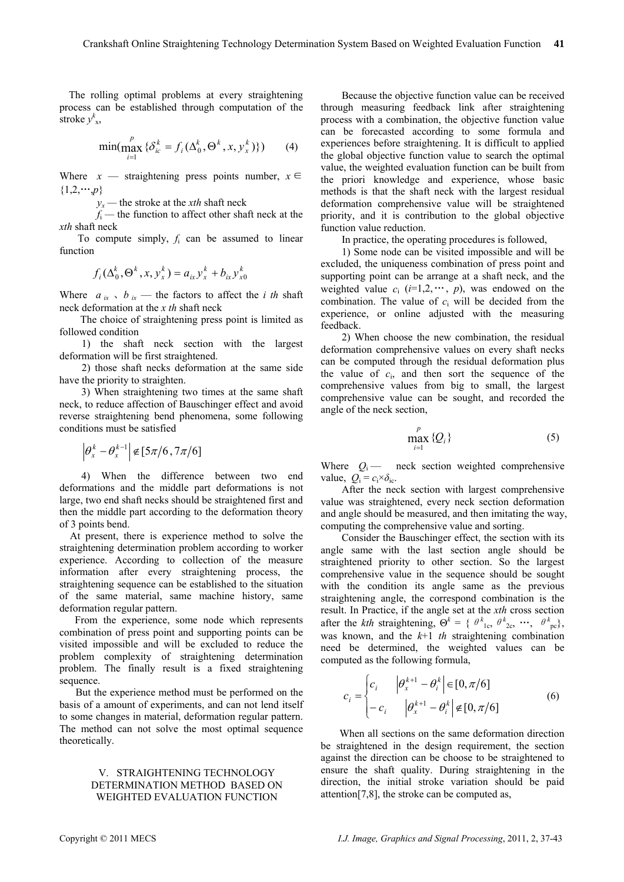Th e rolling optimal problems at every straightening process can be established through computation of the stroke  $y^k_{x}$ ,

$$
\min(\max_{i=1}^p {\lbrace \delta_{ic}^k = f_i(\Delta_0^k, \Theta^k, x, y_x^k) \rbrace})
$$
 (4)

Where  $x$  — straightening press points number,  $x \in$  $\{1,2,\dots,p\}$ 

*yx —* the stroke at the *xth* shaft neck

*f*i *—* the function to affect other shaft neck at the *xth* shaft neck

To compute simply,  $f_i$  can be assumed to linear function

$$
f_i(\Delta_0^k, \Theta^k, x, y_x^k) = a_{ix} y_x^k + b_{ix} y_{x0}^k
$$

Where  $a_{ix}$ ,  $b_{ix}$  — the factors to affect the *i* th shaft neck deformation at the *x th* shaft neck

 The choice of straightening press point is limited as followed condition

defo rmation will be first straightened. 1) the shaft neck section with the largest

2) those shaft necks deformation at the same side have the priority to straighten.

3) When straightening two times at the same shaft neck, to reduce affection of Bauschinger effect and avoid reverse straightening bend phenomena, some following conditions must be satisfied

$$
\left|\theta_x^k - \theta_x^{k-1}\right| \notin [5\pi/6, 7\pi/6]
$$

4) When the difference between two end deformations and the middle part deformations is not large, two end shaft necks should be straightened first and then the middle part according to the deformation theory of 3 poin ts bend.

At present, there is experience method to solve the straightening determination problem according to worker experience. According to collection of the measure information after every straightening process, the straightening sequence can be established to the situation of the same material, same machine history, same deformation regular pattern.

 From the experience, some node which represents combination of press point and supporting points can be visited impossible and will be excluded to reduce the problem complexity of straightening determination problem. The finally result is a fixed straightening sequence.

But the experience method must be performed on the basis of a amount of experiments, and can not lend itself to some changes in material, deformation regular pattern. The method can not solve the most optimal sequence theoretically.

# V. STRAIGHTENING TECHNOLOGY DETERMINATION METHOD BASED ON WEIGHTED EVALUATION FUNCTION

experiences before straightening. It is difficult to applied the g lobal objective function value to search the optimal value, the weighted evaluation function can be built from the priori knowledge and experience, whose basic methods is that the shaft neck with the largest residual defo rmation comprehensive value will be straightened priority, and it is contribution to the global objective Because the objective function value can be received through measuring feedback link after straightening process with a combination, the objective function value can be forecasted according to some formula and function value reduction.

In practice, the operating procedures is followed,

weighted value  $c_i$  ( $i=1,2,\cdots, p$ ), was endowed on the combination. The value of  $c_i$  will be decided from the 1) Some node can be visited impossible and will be excluded, the uniqueness combination of press point and supporting point can be arrange at a shaft neck, and the experience, or online adjusted with the measuring feedback.

comprehensive values from big to small, the largest comprehensive value can be sought, and recorded the angle of the n eck section, 2) When choose the new combination, the residual deformation comprehensive values on every shaft necks can be computed through the residual deformation plus the value of  $c_i$ , and then sort the sequence of the

$$
\max_{i=1}^{p} \{Q_i\} \tag{5}
$$

Where  $Q_i$  — neck section weighted comprehensive value,  $Q_i = c_i \times \delta_{ic}$ .

After the neck section with largest comprehensive value was straightened, every neck section deformation and angle should be measured, and then imitating the way, com puting the comprehensive value and sorting.

angle same with the last section angle should be strai ghtened priority to other section. So the largest Consider the Bauschinger effect, the section with its comprehensive value in the sequence should be sought with the condition its angle same as the previous straightening angle, the correspond combination is the result. In Practice, if the angle set at the *xth* cross section after the *kth* straightening,  $\Theta^k = \{ \Theta^k_{1c}, \Theta^k_{2c}, \cdots, \Theta^k_{pc} \},\$ was known, and the *k*+1 *th* straightening combination need be determined, the weighted values can be computed as the following formula,

$$
c_i = \begin{cases} c_i & |\theta_x^{k+1} - \theta_i^k| \in [0, \pi/6] \\ -c_i & |\theta_x^{k+1} - \theta_i^k| \notin [0, \pi/6] \end{cases} \tag{6}
$$

When all sections on the same deformation direction be straightened in the design requirement, the section against the direction can be choose to be straightened to ensure the shaft quality. During straightening in the direction, the initial s troke variation should be paid attention[7,8], the stroke can be computed as,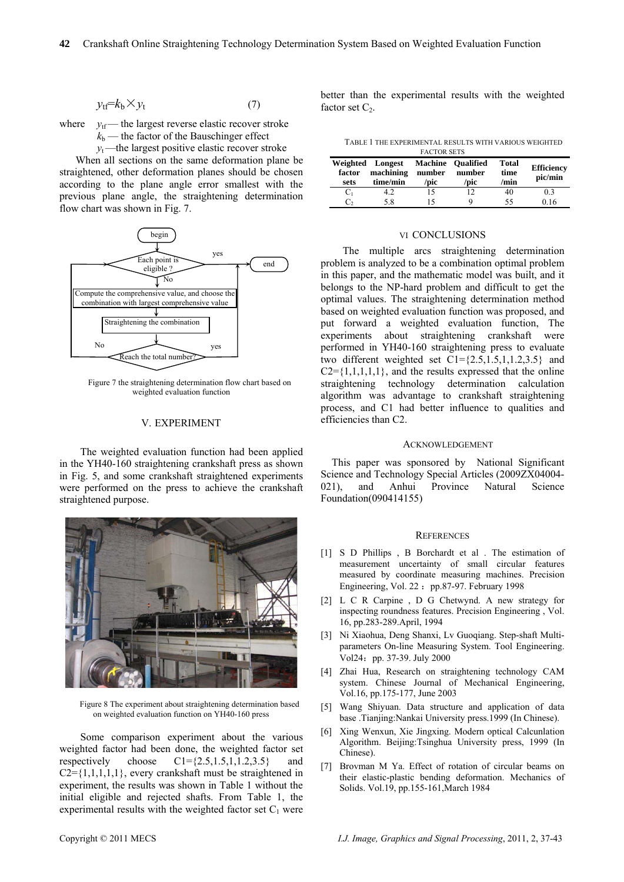$$
y_{\rm tf} = k_{\rm b} \times y_{\rm t} \tag{7}
$$

where  $v_{\text{tf}}$  — the largest reverse elastic recover stroke  $k_b$ — the factor of the Bauschinger effect

 $y_t$ —the largest positive elastic recover stroke

When all sections on the same deformation plane be previous plane angle, the straightening determination flow chart was shown in Fig. 7. straightened, other deformation planes should be chosen according to the plane angle error smallest with the



Figure 7 the straightening determination flow chart based on weighted evaluation function

#### V. EXPERIMENT

The weighted evaluation function had been applied in the YH40-160 straightening crankshaft press as shown in Fi g. 5, and some crankshaft straightened experiments were performed on the press to achieve the crankshaft straightened purpose.



Figure 8 The experiment about straightening determination based on weighted evaluation function on YH40-160 press

Some comparison experiment about the various weighted factor had been done, the weighted factor set respectively choose  $Cl = \{2.5, 1.5, 1, 1.2, 3.5\}$  and  $C2 = \{1,1,1,1,1\}$ , every crankshaft must be straightened in experiment, the results was shown in Table 1 without the initial eligible and rejected shafts. From Table 1, the experimental results with the weighted factor set  $C_1$  were

bette r than the experimental results with the weighted factor set  $C_2$ .

TABLE 1 THE EXPERIMENTAL RESULTS WITH VARIOUS WEIGHTED

| <b>FACTOR SETS</b> |                                           |                |                                     |                       |                              |
|--------------------|-------------------------------------------|----------------|-------------------------------------|-----------------------|------------------------------|
| factor<br>sets     | Weighted Longest<br>machining<br>time/min | number<br>/pic | Machine Qualified<br>number<br>/pic | Total<br>time<br>/min | <b>Efficiency</b><br>pic/min |
| $C_1$              | 42                                        | 15             | 12                                  | 40                    | 0.3                          |
|                    | 58                                        |                |                                     | 55                    | 0.16                         |

#### VI CONCLUSIONS

The multiple arcs straightening determination problem is analyzed to be a combination optimal problem in this paper, and the mathematic model was built, and it belongs to the NP-hard problem and difficult to get the optimal values. The straightening determination method based on weighted evaluation function was proposed, and put forwar d a weighted evaluation function, The expe riments about straightening crankshaft were efficiencies than C2. performed in YH40-160 straightening press to evaluate two different weighted set  $Cl = \{2.5, 1.5, 1, 1.2, 3.5\}$  and  $C2 = \{1,1,1,1,1\}$ , and the results expressed that the online straightening technology determination calculation algorithm was advantage to crankshaft straightening process, and C1 had better influence to qualities and

### **ACKNOWLEDGEMENT**

This paper was sponsored by National Significant Science and Technology Special Articles (2009ZX04004- 021), and Anhui Province Natural Science Foundation(090414155)

#### **REFERENCES**

- [1] S D Phillips , B Borchardt et al . The estimation of measurement uncertainty of small circular features measured by coordinate measuring machines. Precision Engineering, Vol. 22: pp.87-97. February 1998
- [2] L C R Carpine , D G Chetwynd. A new strategy for inspecting roundness features. Precision Engineering , Vol. 16, pp.283-289.April, 1994
- [3] Ni Xiaohua, Deng Shanxi, Lv Guoqiang. Step-shaft Multiparameters On-line Measuring System. Tool Engineering. Vol24: pp. 37-39. July 2000
- [4] Zhai Hua, Research on straightening technology CAM system. Chinese Journal of Mechanical Engineering, Vol.16, pp.175-177, June 2003
- [5] Wang Shiyuan. Data structure and application of data base .Tianjing:Nankai University press.1999 (In Chinese).
- [6] Xing Wenxun, Xie Jingxing. Modern optical Calcunlation Algorithm. Beijing:Tsinghua University press, 1999 (In Chinese).
- [7] Brovman M Ya. Effect of rotation of circular beams on their elastic-plastic bending deformation. Mechanics of Solids. Vol.19, pp.155-161,March 1984